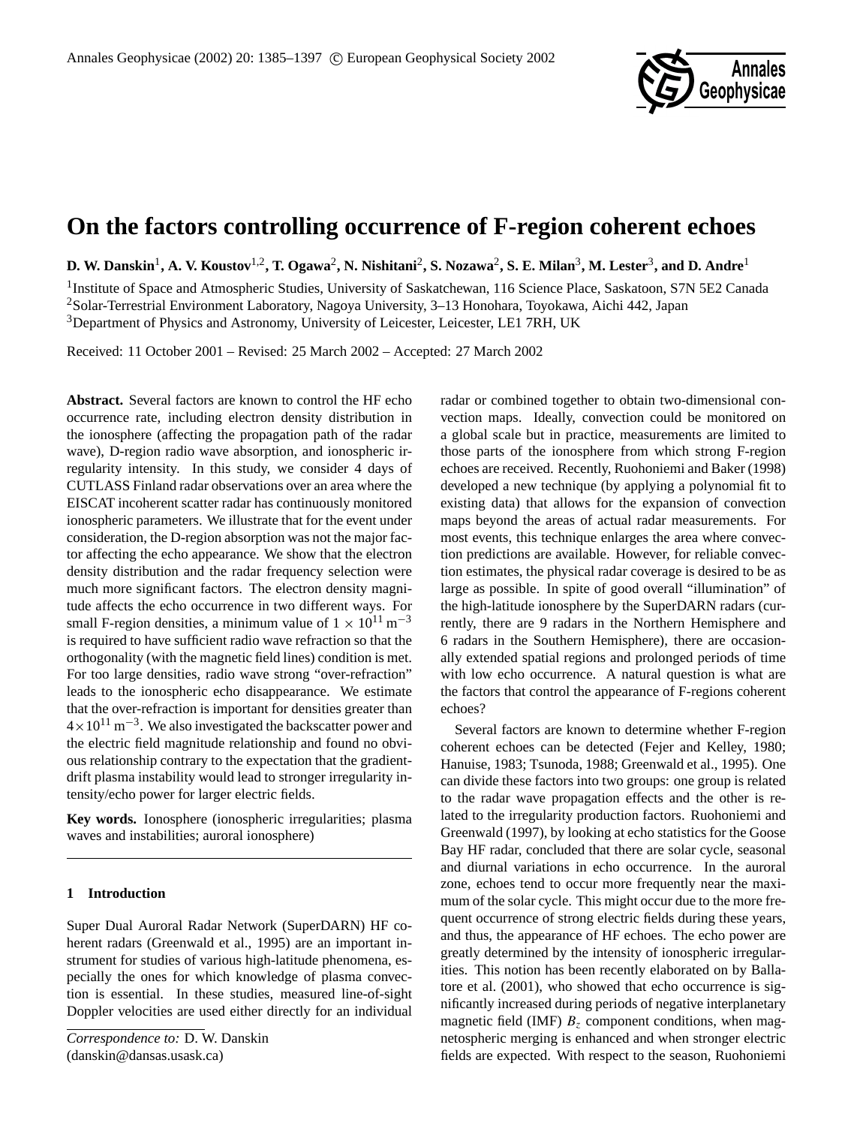

# **On the factors controlling occurrence of F-region coherent echoes**

 ${\bf D.~W.~Danskin}^1,$  A. V. Koustov<sup>1,2</sup>, T. Ogawa<sup>2</sup>, N. Nishitani<sup>2</sup>, S. Nozawa<sup>2</sup>, S. E. Milan<sup>3</sup>, M. Lester<sup>3</sup>, and D. Andre<sup>1</sup>

<sup>1</sup>Institute of Space and Atmospheric Studies, University of Saskatchewan, 116 Science Place, Saskatoon, S7N 5E2 Canada <sup>2</sup>Solar-Terrestrial Environment Laboratory, Nagoya University, 3–13 Honohara, Toyokawa, Aichi 442, Japan <sup>3</sup>Department of Physics and Astronomy, University of Leicester, Leicester, LE1 7RH, UK

Received: 11 October 2001 – Revised: 25 March 2002 – Accepted: 27 March 2002

**Abstract.** Several factors are known to control the HF echo occurrence rate, including electron density distribution in the ionosphere (affecting the propagation path of the radar wave), D-region radio wave absorption, and ionospheric irregularity intensity. In this study, we consider 4 days of CUTLASS Finland radar observations over an area where the EISCAT incoherent scatter radar has continuously monitored ionospheric parameters. We illustrate that for the event under consideration, the D-region absorption was not the major factor affecting the echo appearance. We show that the electron density distribution and the radar frequency selection were much more significant factors. The electron density magnitude affects the echo occurrence in two different ways. For small F-region densities, a minimum value of  $1 \times 10^{11}$  m<sup>-3</sup> is required to have sufficient radio wave refraction so that the orthogonality (with the magnetic field lines) condition is met. For too large densities, radio wave strong "over-refraction" leads to the ionospheric echo disappearance. We estimate that the over-refraction is important for densities greater than  $4 \times 10^{11}$  m<sup>-3</sup>. We also investigated the backscatter power and the electric field magnitude relationship and found no obvious relationship contrary to the expectation that the gradientdrift plasma instability would lead to stronger irregularity intensity/echo power for larger electric fields.

**Key words.** Ionosphere (ionospheric irregularities; plasma waves and instabilities; auroral ionosphere)

## **1 Introduction**

Super Dual Auroral Radar Network (SuperDARN) HF coherent radars (Greenwald et al., 1995) are an important instrument for studies of various high-latitude phenomena, especially the ones for which knowledge of plasma convection is essential. In these studies, measured line-of-sight Doppler velocities are used either directly for an individual

*Correspondence to:* D. W. Danskin (danskin@dansas.usask.ca)

radar or combined together to obtain two-dimensional convection maps. Ideally, convection could be monitored on a global scale but in practice, measurements are limited to those parts of the ionosphere from which strong F-region echoes are received. Recently, Ruohoniemi and Baker (1998) developed a new technique (by applying a polynomial fit to existing data) that allows for the expansion of convection maps beyond the areas of actual radar measurements. For most events, this technique enlarges the area where convection predictions are available. However, for reliable convection estimates, the physical radar coverage is desired to be as large as possible. In spite of good overall "illumination" of the high-latitude ionosphere by the SuperDARN radars (currently, there are 9 radars in the Northern Hemisphere and 6 radars in the Southern Hemisphere), there are occasionally extended spatial regions and prolonged periods of time with low echo occurrence. A natural question is what are the factors that control the appearance of F-regions coherent echoes?

Several factors are known to determine whether F-region coherent echoes can be detected (Fejer and Kelley, 1980; Hanuise, 1983; Tsunoda, 1988; Greenwald et al., 1995). One can divide these factors into two groups: one group is related to the radar wave propagation effects and the other is related to the irregularity production factors. Ruohoniemi and Greenwald (1997), by looking at echo statistics for the Goose Bay HF radar, concluded that there are solar cycle, seasonal and diurnal variations in echo occurrence. In the auroral zone, echoes tend to occur more frequently near the maximum of the solar cycle. This might occur due to the more frequent occurrence of strong electric fields during these years, and thus, the appearance of HF echoes. The echo power are greatly determined by the intensity of ionospheric irregularities. This notion has been recently elaborated on by Ballatore et al. (2001), who showed that echo occurrence is significantly increased during periods of negative interplanetary magnetic field (IMF)  $B<sub>z</sub>$  component conditions, when magnetospheric merging is enhanced and when stronger electric fields are expected. With respect to the season, Ruohoniemi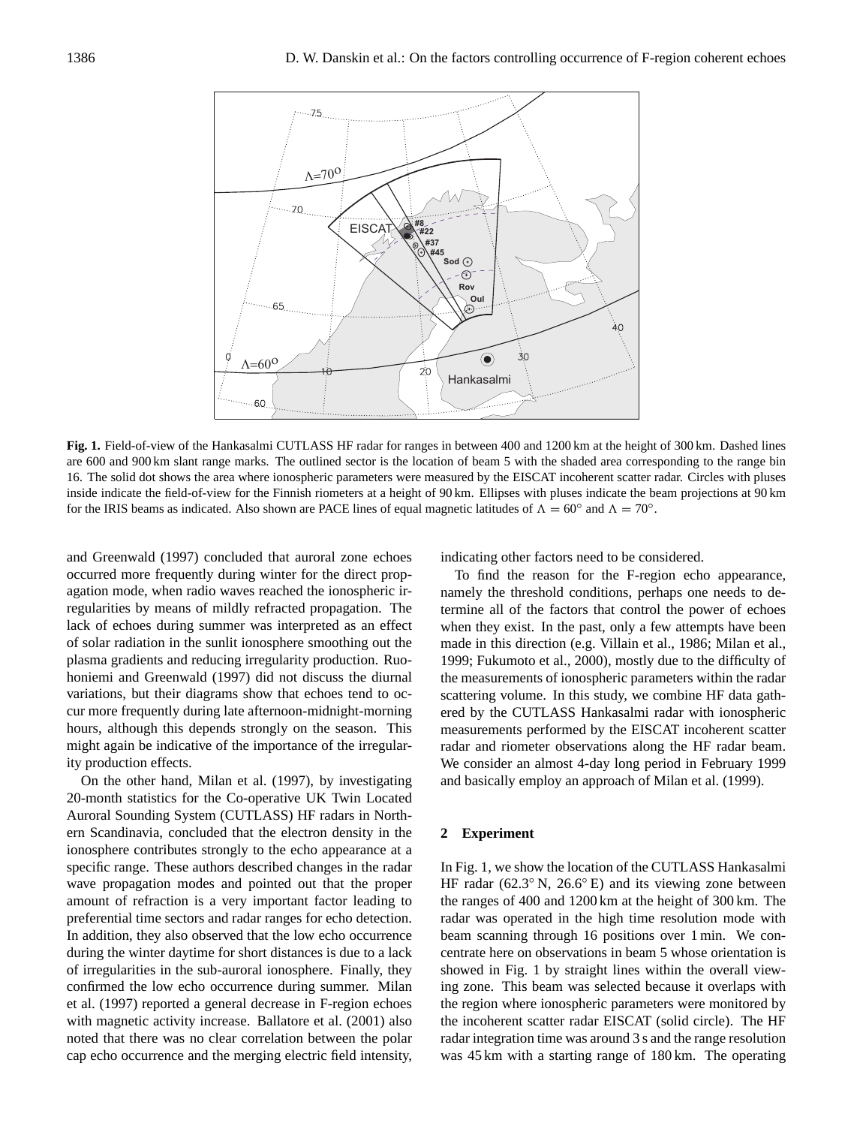

**Fig. 1.** Field-of-view of the Hankasalmi CUTLASS HF radar for ranges in between 400 and 1200 km at the height of 300 km. Dashed lines are 600 and 900 km slant range marks. The outlined sector is the location of beam 5 with the shaded area corresponding to the range bin 16. The solid dot shows the area where ionospheric parameters were measured by the EISCAT incoherent scatter radar. Circles with pluses inside indicate the field-of-view for the Finnish riometers at a height of 90 km. Ellipses with pluses indicate the beam projections at 90 km for the IRIS beams as indicated. Also shown are PACE lines of equal magnetic latitudes of  $\Lambda = 60^\circ$  and  $\Lambda = 70^\circ$ .

and Greenwald (1997) concluded that auroral zone echoes occurred more frequently during winter for the direct propagation mode, when radio waves reached the ionospheric irregularities by means of mildly refracted propagation. The lack of echoes during summer was interpreted as an effect of solar radiation in the sunlit ionosphere smoothing out the plasma gradients and reducing irregularity production. Ruohoniemi and Greenwald (1997) did not discuss the diurnal variations, but their diagrams show that echoes tend to occur more frequently during late afternoon-midnight-morning hours, although this depends strongly on the season. This might again be indicative of the importance of the irregularity production effects.

On the other hand, Milan et al. (1997), by investigating 20-month statistics for the Co-operative UK Twin Located Auroral Sounding System (CUTLASS) HF radars in Northern Scandinavia, concluded that the electron density in the ionosphere contributes strongly to the echo appearance at a specific range. These authors described changes in the radar wave propagation modes and pointed out that the proper amount of refraction is a very important factor leading to preferential time sectors and radar ranges for echo detection. In addition, they also observed that the low echo occurrence during the winter daytime for short distances is due to a lack of irregularities in the sub-auroral ionosphere. Finally, they confirmed the low echo occurrence during summer. Milan et al. (1997) reported a general decrease in F-region echoes with magnetic activity increase. Ballatore et al. (2001) also noted that there was no clear correlation between the polar cap echo occurrence and the merging electric field intensity, indicating other factors need to be considered.

To find the reason for the F-region echo appearance, namely the threshold conditions, perhaps one needs to determine all of the factors that control the power of echoes when they exist. In the past, only a few attempts have been made in this direction (e.g. Villain et al., 1986; Milan et al., 1999; Fukumoto et al., 2000), mostly due to the difficulty of the measurements of ionospheric parameters within the radar scattering volume. In this study, we combine HF data gathered by the CUTLASS Hankasalmi radar with ionospheric measurements performed by the EISCAT incoherent scatter radar and riometer observations along the HF radar beam. We consider an almost 4-day long period in February 1999 and basically employ an approach of Milan et al. (1999).

#### **2 Experiment**

In Fig. 1, we show the location of the CUTLASS Hankasalmi HF radar ( $62.3°$  N,  $26.6°$  E) and its viewing zone between the ranges of 400 and 1200 km at the height of 300 km. The radar was operated in the high time resolution mode with beam scanning through 16 positions over 1 min. We concentrate here on observations in beam 5 whose orientation is showed in Fig. 1 by straight lines within the overall viewing zone. This beam was selected because it overlaps with the region where ionospheric parameters were monitored by the incoherent scatter radar EISCAT (solid circle). The HF radar integration time was around 3 s and the range resolution was 45 km with a starting range of 180 km. The operating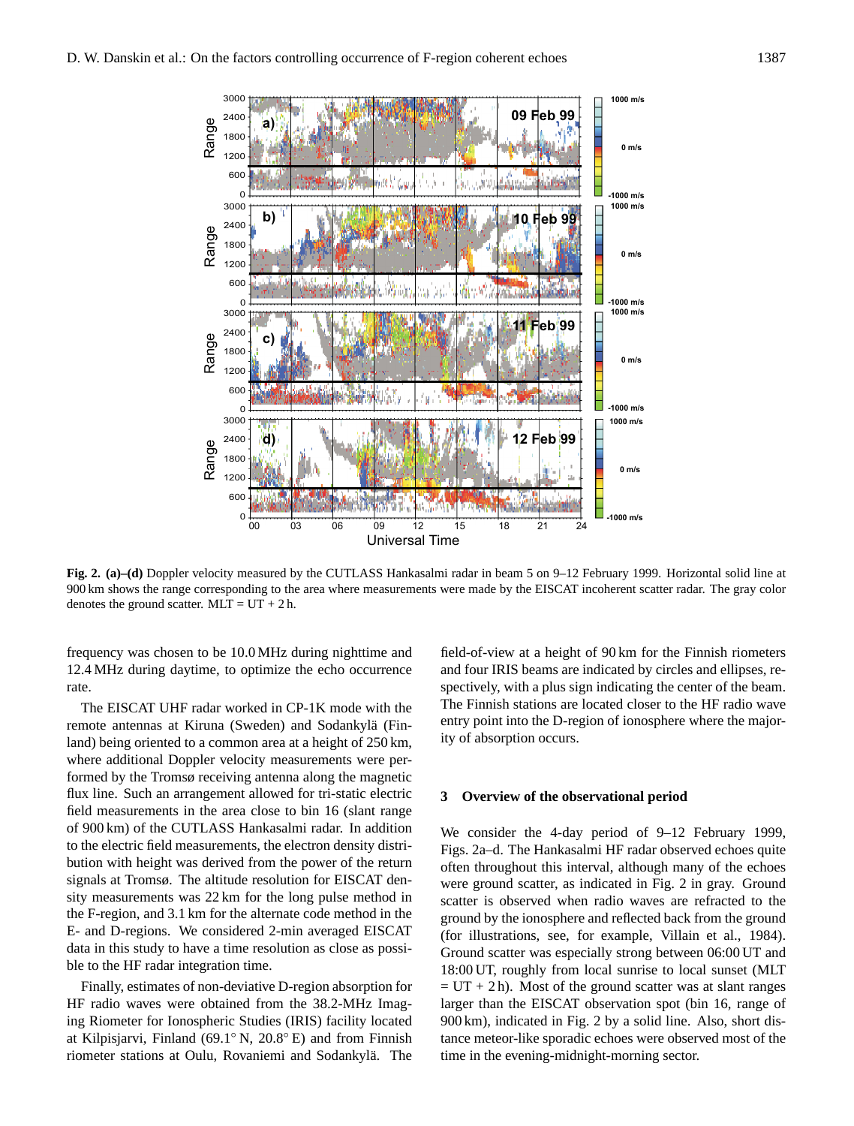

**Fig. 2. (a)–(d)** Doppler velocity measured by the CUTLASS Hankasalmi radar in beam 5 on 9–12 February 1999. Horizontal solid line at 900 km shows the range corresponding to the area where measurements were made by the EISCAT incoherent scatter radar. The gray color denotes the ground scatter.  $MLT = UT + 2h$ .

frequency was chosen to be 10.0 MHz during nighttime and 12.4 MHz during daytime, to optimize the echo occurrence rate.

The EISCAT UHF radar worked in CP-1K mode with the remote antennas at Kiruna (Sweden) and Sodankylä (Finland) being oriented to a common area at a height of 250 km, where additional Doppler velocity measurements were performed by the Tromsø receiving antenna along the magnetic flux line. Such an arrangement allowed for tri-static electric field measurements in the area close to bin 16 (slant range of 900 km) of the CUTLASS Hankasalmi radar. In addition to the electric field measurements, the electron density distribution with height was derived from the power of the return signals at Tromsø. The altitude resolution for EISCAT density measurements was 22 km for the long pulse method in the F-region, and 3.1 km for the alternate code method in the E- and D-regions. We considered 2-min averaged EISCAT data in this study to have a time resolution as close as possible to the HF radar integration time.

Finally, estimates of non-deviative D-region absorption for HF radio waves were obtained from the 38.2-MHz Imaging Riometer for Ionospheric Studies (IRIS) facility located at Kilpisjarvi, Finland (69.1◦ N, 20.8◦ E) and from Finnish riometer stations at Oulu, Rovaniemi and Sodankylä. The

field-of-view at a height of 90 km for the Finnish riometers and four IRIS beams are indicated by circles and ellipses, respectively, with a plus sign indicating the center of the beam. The Finnish stations are located closer to the HF radio wave entry point into the D-region of ionosphere where the majority of absorption occurs.

#### **3 Overview of the observational period**

We consider the 4-day period of 9–12 February 1999, Figs. 2a–d. The Hankasalmi HF radar observed echoes quite often throughout this interval, although many of the echoes were ground scatter, as indicated in Fig. 2 in gray. Ground scatter is observed when radio waves are refracted to the ground by the ionosphere and reflected back from the ground (for illustrations, see, for example, Villain et al., 1984). Ground scatter was especially strong between 06:00 UT and 18:00 UT, roughly from local sunrise to local sunset (MLT  $=$  UT + 2 h). Most of the ground scatter was at slant ranges larger than the EISCAT observation spot (bin 16, range of 900 km), indicated in Fig. 2 by a solid line. Also, short distance meteor-like sporadic echoes were observed most of the time in the evening-midnight-morning sector.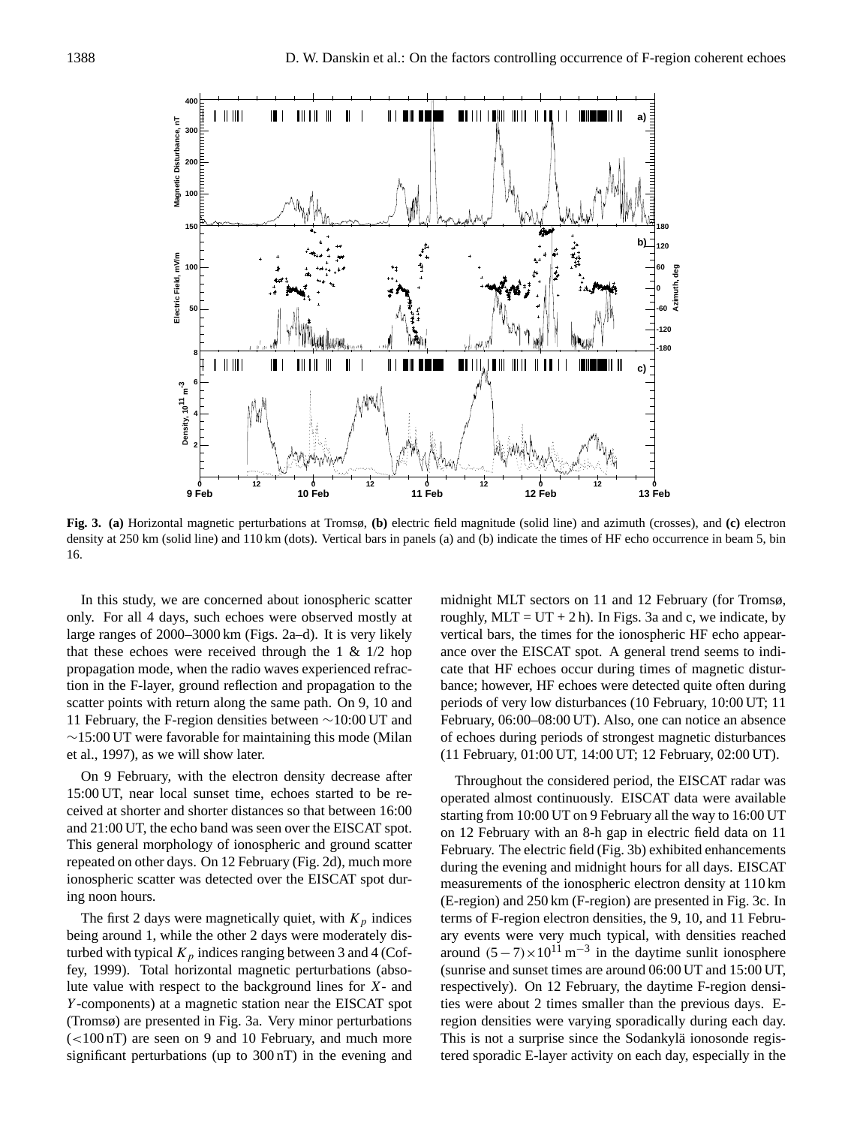

**Fig. 3. (a)** Horizontal magnetic perturbations at Tromsø, **(b)** electric field magnitude (solid line) and azimuth (crosses), and **(c)** electron density at 250 km (solid line) and 110 km (dots). Vertical bars in panels (a) and (b) indicate the times of HF echo occurrence in beam 5, bin 16.

In this study, we are concerned about ionospheric scatter only. For all 4 days, such echoes were observed mostly at large ranges of 2000–3000 km (Figs. 2a–d). It is very likely that these echoes were received through the 1  $\&$  1/2 hop propagation mode, when the radio waves experienced refraction in the F-layer, ground reflection and propagation to the scatter points with return along the same path. On 9, 10 and 11 February, the F-region densities between ∼10:00 UT and ∼15:00 UT were favorable for maintaining this mode (Milan et al., 1997), as we will show later.

On 9 February, with the electron density decrease after 15:00 UT, near local sunset time, echoes started to be received at shorter and shorter distances so that between 16:00 and 21:00 UT, the echo band was seen over the EISCAT spot. This general morphology of ionospheric and ground scatter repeated on other days. On 12 February (Fig. 2d), much more ionospheric scatter was detected over the EISCAT spot during noon hours.

The first 2 days were magnetically quiet, with  $K_p$  indices being around 1, while the other 2 days were moderately disturbed with typical  $K_p$  indices ranging between 3 and 4 (Coffey, 1999). Total horizontal magnetic perturbations (absolute value with respect to the background lines for X- and Y -components) at a magnetic station near the EISCAT spot (Tromsø) are presented in Fig. 3a. Very minor perturbations  $\epsilon$  (<100 nT) are seen on 9 and 10 February, and much more significant perturbations (up to 300 nT) in the evening and midnight MLT sectors on 11 and 12 February (for Tromsø, roughly,  $MLT = UT + 2h$ . In Figs. 3a and c, we indicate, by vertical bars, the times for the ionospheric HF echo appearance over the EISCAT spot. A general trend seems to indicate that HF echoes occur during times of magnetic disturbance; however, HF echoes were detected quite often during periods of very low disturbances (10 February, 10:00 UT; 11 February, 06:00–08:00 UT). Also, one can notice an absence of echoes during periods of strongest magnetic disturbances (11 February, 01:00 UT, 14:00 UT; 12 February, 02:00 UT).

Throughout the considered period, the EISCAT radar was operated almost continuously. EISCAT data were available starting from 10:00 UT on 9 February all the way to 16:00 UT on 12 February with an 8-h gap in electric field data on 11 February. The electric field (Fig. 3b) exhibited enhancements during the evening and midnight hours for all days. EISCAT measurements of the ionospheric electron density at 110 km (E-region) and 250 km (F-region) are presented in Fig. 3c. In terms of F-region electron densities, the 9, 10, and 11 February events were very much typical, with densities reached around  $(5-7) \times 10^{11}$  m<sup>-3</sup> in the daytime sunlit ionosphere (sunrise and sunset times are around 06:00 UT and 15:00 UT, respectively). On 12 February, the daytime F-region densities were about 2 times smaller than the previous days. Eregion densities were varying sporadically during each day. This is not a surprise since the Sodankylä ionosonde registered sporadic E-layer activity on each day, especially in the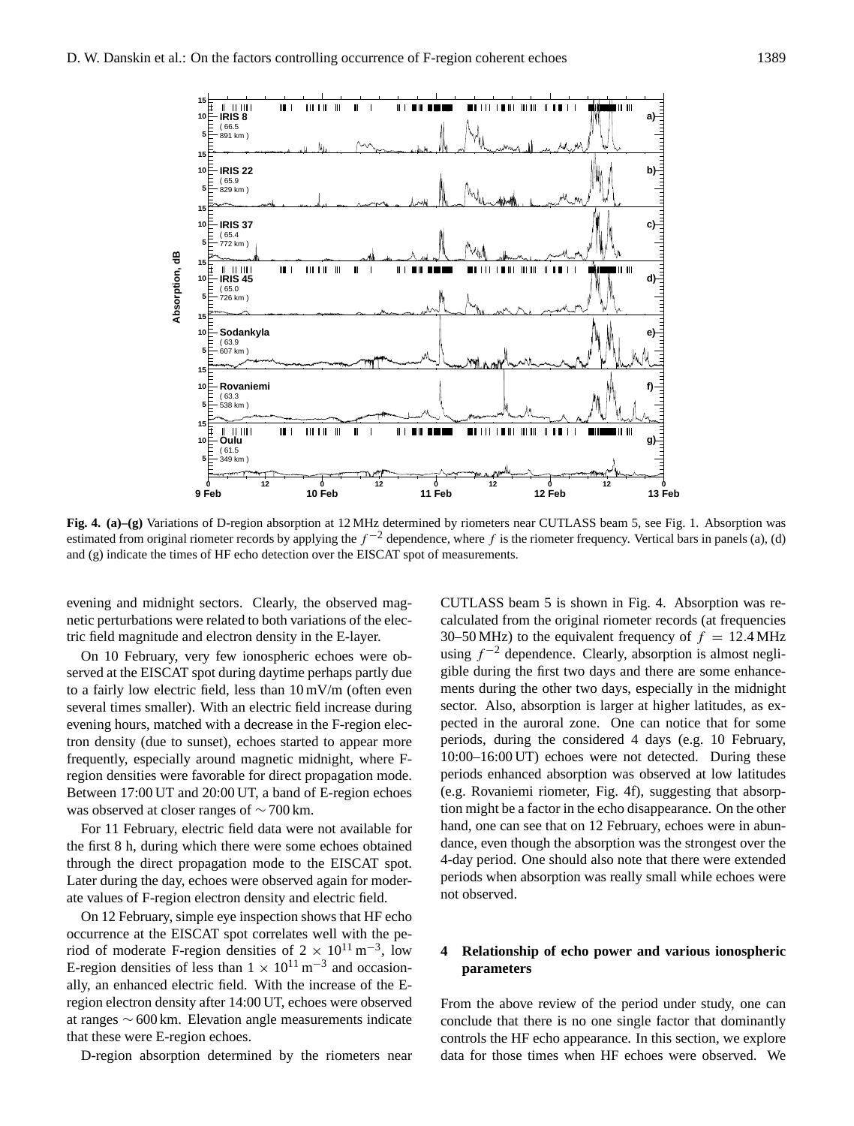

**Fig. 4. (a)–(g)** Variations of D-region absorption at 12 MHz determined by riometers near CUTLASS beam 5, see Fig. 1. Absorption was estimated from original riometer records by applying the  $f^{-2}$  dependence, where f is the riometer frequency. Vertical bars in panels (a), (d) and (g) indicate the times of HF echo detection over the EISCAT spot of measurements.

evening and midnight sectors. Clearly, the observed magnetic perturbations were related to both variations of the electric field magnitude and electron density in the E-layer.

On 10 February, very few ionospheric echoes were observed at the EISCAT spot during daytime perhaps partly due to a fairly low electric field, less than 10 mV/m (often even several times smaller). With an electric field increase during evening hours, matched with a decrease in the F-region electron density (due to sunset), echoes started to appear more frequently, especially around magnetic midnight, where Fregion densities were favorable for direct propagation mode. Between 17:00 UT and 20:00 UT, a band of E-region echoes was observed at closer ranges of ∼ 700 km.

For 11 February, electric field data were not available for the first 8 h, during which there were some echoes obtained through the direct propagation mode to the EISCAT spot. Later during the day, echoes were observed again for moderate values of F-region electron density and electric field.

On 12 February, simple eye inspection shows that HF echo occurrence at the EISCAT spot correlates well with the period of moderate F-region densities of  $2 \times 10^{11}$  m<sup>-3</sup>, low E-region densities of less than  $1 \times 10^{11}$  m<sup>-3</sup> and occasionally, an enhanced electric field. With the increase of the Eregion electron density after 14:00 UT, echoes were observed at ranges ∼ 600 km. Elevation angle measurements indicate that these were E-region echoes.

D-region absorption determined by the riometers near

CUTLASS beam 5 is shown in Fig. 4. Absorption was recalculated from the original riometer records (at frequencies 30–50 MHz) to the equivalent frequency of  $f = 12.4$  MHz using  $f^{-2}$  dependence. Clearly, absorption is almost negligible during the first two days and there are some enhancements during the other two days, especially in the midnight sector. Also, absorption is larger at higher latitudes, as expected in the auroral zone. One can notice that for some periods, during the considered 4 days (e.g. 10 February, 10:00–16:00 UT) echoes were not detected. During these periods enhanced absorption was observed at low latitudes (e.g. Rovaniemi riometer, Fig. 4f), suggesting that absorption might be a factor in the echo disappearance. On the other hand, one can see that on 12 February, echoes were in abundance, even though the absorption was the strongest over the 4-day period. One should also note that there were extended periods when absorption was really small while echoes were not observed.

## **4 Relationship of echo power and various ionospheric parameters**

From the above review of the period under study, one can conclude that there is no one single factor that dominantly controls the HF echo appearance. In this section, we explore data for those times when HF echoes were observed. We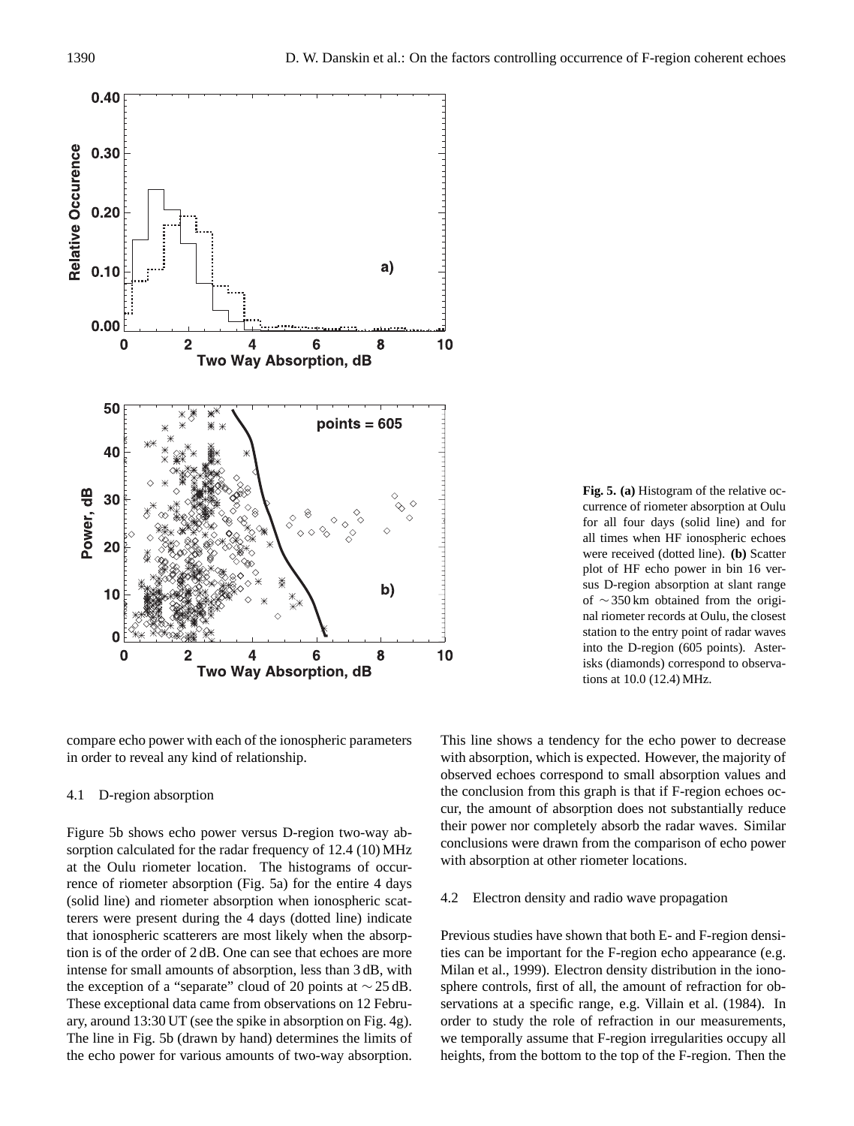

**Fig. 5. (a)** Histogram of the relative occurrence of riometer absorption at Oulu for all four days (solid line) and for all times when HF ionospheric echoes were received (dotted line). **(b)** Scatter plot of HF echo power in bin 16 versus D-region absorption at slant range of ∼ 350 km obtained from the original riometer records at Oulu, the closest station to the entry point of radar waves into the D-region (605 points). Asterisks (diamonds) correspond to observations at 10.0 (12.4) MHz.

compare echo power with each of the ionospheric parameters in order to reveal any kind of relationship.

#### 4.1 D-region absorption

Figure 5b shows echo power versus D-region two-way absorption calculated for the radar frequency of 12.4 (10) MHz at the Oulu riometer location. The histograms of occurrence of riometer absorption (Fig. 5a) for the entire 4 days (solid line) and riometer absorption when ionospheric scatterers were present during the 4 days (dotted line) indicate that ionospheric scatterers are most likely when the absorption is of the order of 2 dB. One can see that echoes are more intense for small amounts of absorption, less than 3 dB, with the exception of a "separate" cloud of 20 points at  $\sim$  25 dB. These exceptional data came from observations on 12 February, around 13:30 UT (see the spike in absorption on Fig. 4g). The line in Fig. 5b (drawn by hand) determines the limits of the echo power for various amounts of two-way absorption. This line shows a tendency for the echo power to decrease with absorption, which is expected. However, the majority of observed echoes correspond to small absorption values and the conclusion from this graph is that if F-region echoes occur, the amount of absorption does not substantially reduce their power nor completely absorb the radar waves. Similar conclusions were drawn from the comparison of echo power with absorption at other riometer locations.

#### 4.2 Electron density and radio wave propagation

Previous studies have shown that both E- and F-region densities can be important for the F-region echo appearance (e.g. Milan et al., 1999). Electron density distribution in the ionosphere controls, first of all, the amount of refraction for observations at a specific range, e.g. Villain et al. (1984). In order to study the role of refraction in our measurements, we temporally assume that F-region irregularities occupy all heights, from the bottom to the top of the F-region. Then the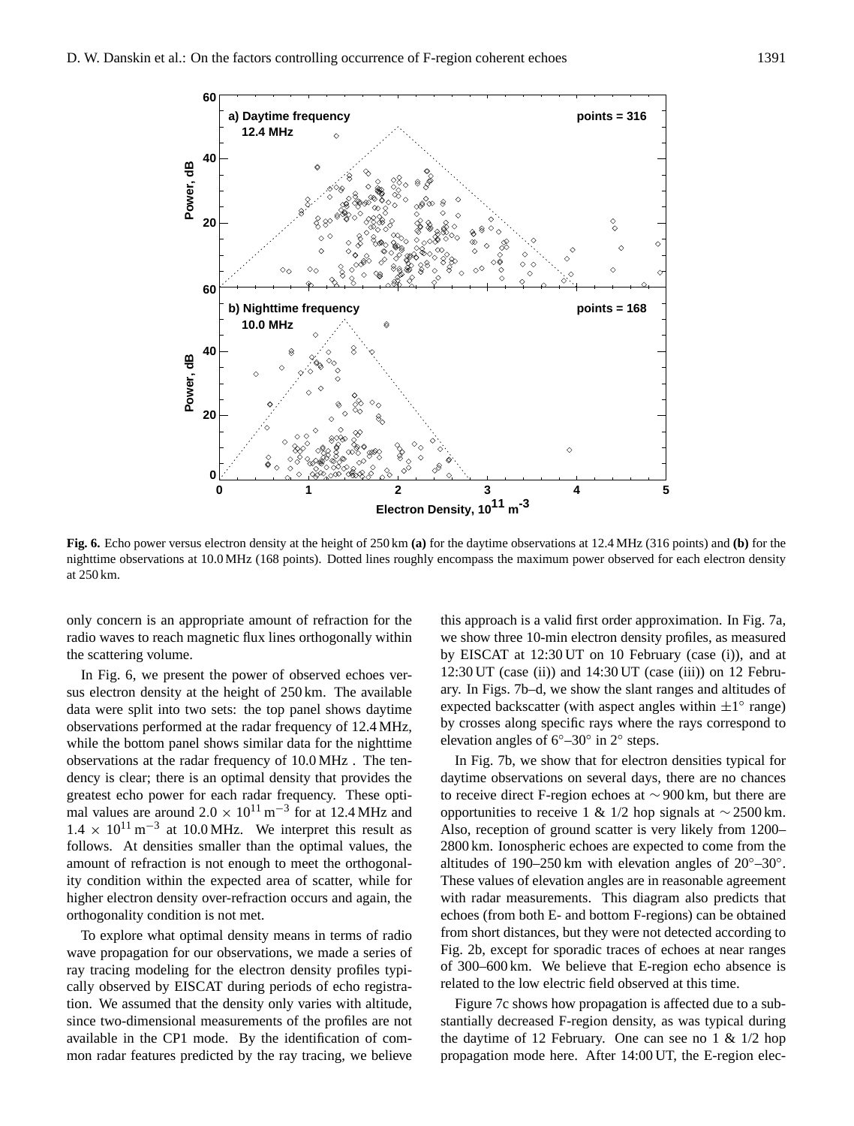

**Fig. 6.** Echo power versus electron density at the height of 250 km **(a)** for the daytime observations at 12.4 MHz (316 points) and **(b)** for the nighttime observations at 10.0 MHz (168 points). Dotted lines roughly encompass the maximum power observed for each electron density at 250 km.

only concern is an appropriate amount of refraction for the radio waves to reach magnetic flux lines orthogonally within the scattering volume.

In Fig. 6, we present the power of observed echoes versus electron density at the height of 250 km. The available data were split into two sets: the top panel shows daytime observations performed at the radar frequency of 12.4 MHz, while the bottom panel shows similar data for the nighttime observations at the radar frequency of 10.0 MHz . The tendency is clear; there is an optimal density that provides the greatest echo power for each radar frequency. These optimal values are around  $2.0 \times 10^{11}$  m<sup>-3</sup> for at 12.4 MHz and  $1.4 \times 10^{11}$  m<sup>-3</sup> at 10.0 MHz. We interpret this result as follows. At densities smaller than the optimal values, the amount of refraction is not enough to meet the orthogonality condition within the expected area of scatter, while for higher electron density over-refraction occurs and again, the orthogonality condition is not met.

To explore what optimal density means in terms of radio wave propagation for our observations, we made a series of ray tracing modeling for the electron density profiles typically observed by EISCAT during periods of echo registration. We assumed that the density only varies with altitude, since two-dimensional measurements of the profiles are not available in the CP1 mode. By the identification of common radar features predicted by the ray tracing, we believe

this approach is a valid first order approximation. In Fig. 7a, we show three 10-min electron density profiles, as measured by EISCAT at 12:30 UT on 10 February (case (i)), and at  $12:30$  UT (case (ii)) and  $14:30$  UT (case (iii)) on 12 February. In Figs. 7b–d, we show the slant ranges and altitudes of expected backscatter (with aspect angles within  $\pm 1^{\circ}$  range) by crosses along specific rays where the rays correspond to elevation angles of  $6^{\circ}-30^{\circ}$  in  $2^{\circ}$  steps.

In Fig. 7b, we show that for electron densities typical for daytime observations on several days, there are no chances to receive direct F-region echoes at ∼ 900 km, but there are opportunities to receive 1 & 1/2 hop signals at  $\sim$  2500 km. Also, reception of ground scatter is very likely from 1200– 2800 km. Ionospheric echoes are expected to come from the altitudes of 190–250 km with elevation angles of  $20^{\circ}$ –30°. These values of elevation angles are in reasonable agreement with radar measurements. This diagram also predicts that echoes (from both E- and bottom F-regions) can be obtained from short distances, but they were not detected according to Fig. 2b, except for sporadic traces of echoes at near ranges of 300–600 km. We believe that E-region echo absence is related to the low electric field observed at this time.

Figure 7c shows how propagation is affected due to a substantially decreased F-region density, as was typical during the daytime of 12 February. One can see no 1  $\&$  1/2 hop propagation mode here. After 14:00 UT, the E-region elec-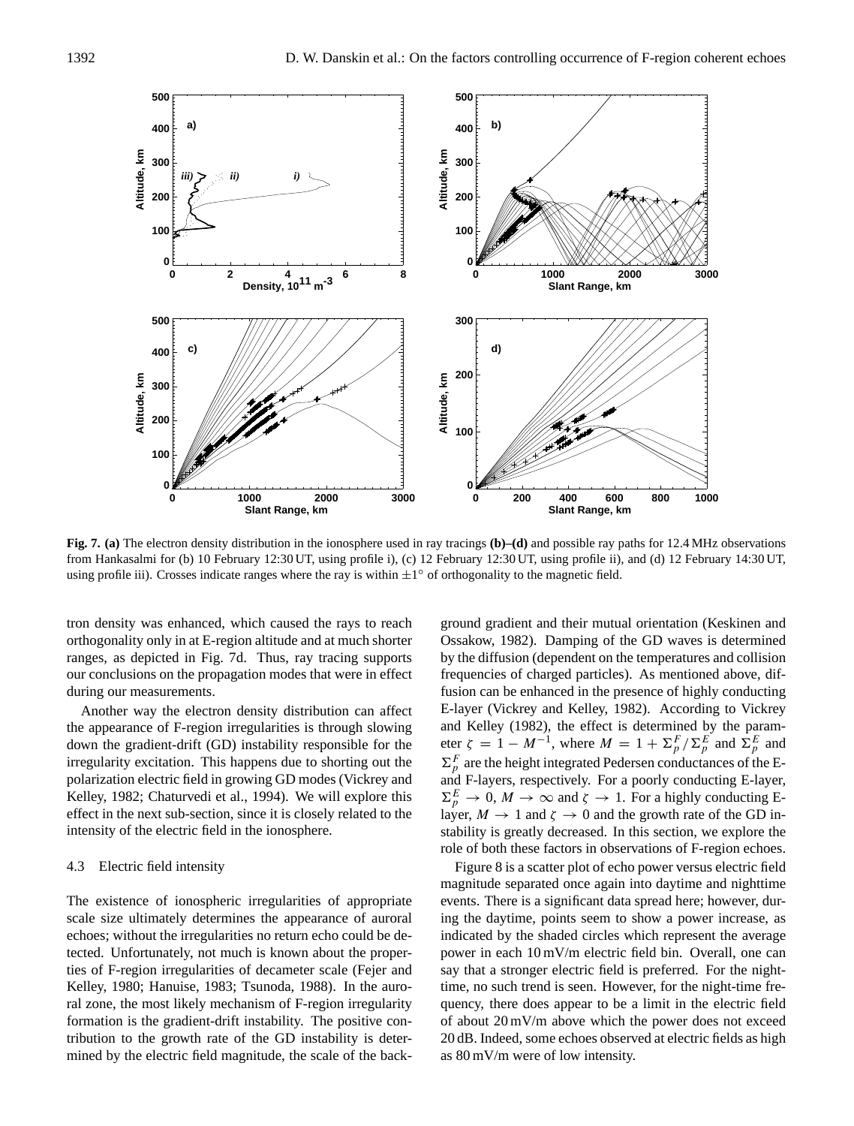

**Fig. 7. (a)** The electron density distribution in the ionosphere used in ray tracings **(b)–(d)** and possible ray paths for 12.4 MHz observations from Hankasalmi for (b) 10 February 12:30 UT, using profile i), (c) 12 February 12:30 UT, using profile ii), and (d) 12 February 14:30 UT, using profile iii). Crosses indicate ranges where the ray is within  $\pm 1^{\circ}$  of orthogonality to the magnetic field.

tron density was enhanced, which caused the rays to reach orthogonality only in at E-region altitude and at much shorter ranges, as depicted in Fig. 7d. Thus, ray tracing supports our conclusions on the propagation modes that were in effect during our measurements.

Another way the electron density distribution can affect the appearance of F-region irregularities is through slowing down the gradient-drift (GD) instability responsible for the irregularity excitation. This happens due to shorting out the polarization electric field in growing GD modes (Vickrey and Kelley, 1982; Chaturvedi et al., 1994). We will explore this effect in the next sub-section, since it is closely related to the intensity of the electric field in the ionosphere.

#### 4.3 Electric field intensity

The existence of ionospheric irregularities of appropriate scale size ultimately determines the appearance of auroral echoes; without the irregularities no return echo could be detected. Unfortunately, not much is known about the properties of F-region irregularities of decameter scale (Fejer and Kelley, 1980; Hanuise, 1983; Tsunoda, 1988). In the auroral zone, the most likely mechanism of F-region irregularity formation is the gradient-drift instability. The positive contribution to the growth rate of the GD instability is determined by the electric field magnitude, the scale of the back-

ground gradient and their mutual orientation (Keskinen and Ossakow, 1982). Damping of the GD waves is determined by the diffusion (dependent on the temperatures and collision frequencies of charged particles). As mentioned above, diffusion can be enhanced in the presence of highly conducting E-layer (Vickrey and Kelley, 1982). According to Vickrey and Kelley (1982), the effect is determined by the parameter  $\zeta = 1 - M^{-1}$ , where  $M = 1 + \sum_{p}^{F} / \sum_{p}^{E}$  and  $\sum_{p}^{E}$  and  $\Sigma_p^F$  are the height integrated Pedersen conductances of the Eand F-layers, respectively. For a poorly conducting E-layer,  $\Sigma_p^E \to 0$ ,  $M \to \infty$  and  $\zeta \to 1$ . For a highly conducting Elayer,  $M \to 1$  and  $\zeta \to 0$  and the growth rate of the GD instability is greatly decreased. In this section, we explore the role of both these factors in observations of F-region echoes.

Figure 8 is a scatter plot of echo power versus electric field magnitude separated once again into daytime and nighttime events. There is a significant data spread here; however, during the daytime, points seem to show a power increase, as indicated by the shaded circles which represent the average power in each 10 mV/m electric field bin. Overall, one can say that a stronger electric field is preferred. For the nighttime, no such trend is seen. However, for the night-time frequency, there does appear to be a limit in the electric field of about 20 mV/m above which the power does not exceed 20 dB. Indeed, some echoes observed at electric fields as high as 80 mV/m were of low intensity.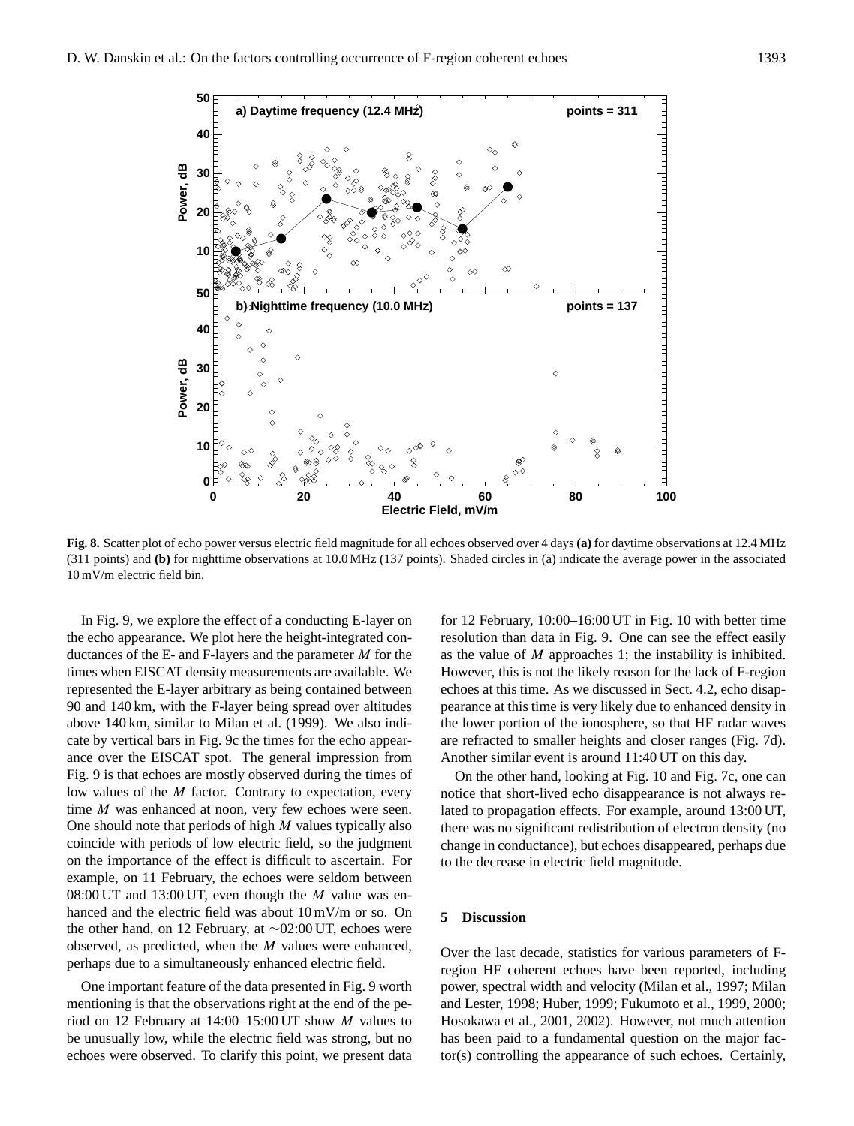

**Fig. 8.** Scatter plot of echo power versus electric field magnitude for all echoes observed over 4 days **(a)** for daytime observations at 12.4 MHz (311 points) and **(b)** for nighttime observations at 10.0 MHz (137 points). Shaded circles in (a) indicate the average power in the associated 10 mV/m electric field bin.

In Fig. 9, we explore the effect of a conducting E-layer on the echo appearance. We plot here the height-integrated conductances of the E- and F-layers and the parameter  $M$  for the times when EISCAT density measurements are available. We represented the E-layer arbitrary as being contained between 90 and 140 km, with the F-layer being spread over altitudes above 140 km, similar to Milan et al. (1999). We also indicate by vertical bars in Fig. 9c the times for the echo appearance over the EISCAT spot. The general impression from Fig. 9 is that echoes are mostly observed during the times of low values of the M factor. Contrary to expectation, every time *M* was enhanced at noon, very few echoes were seen. One should note that periods of high  $M$  values typically also coincide with periods of low electric field, so the judgment on the importance of the effect is difficult to ascertain. For example, on 11 February, the echoes were seldom between 08:00 UT and 13:00 UT, even though the  $M$  value was enhanced and the electric field was about 10 mV/m or so. On the other hand, on 12 February, at ∼02:00 UT, echoes were observed, as predicted, when the M values were enhanced, perhaps due to a simultaneously enhanced electric field.

One important feature of the data presented in Fig. 9 worth mentioning is that the observations right at the end of the period on 12 February at 14:00–15:00 UT show M values to be unusually low, while the electric field was strong, but no echoes were observed. To clarify this point, we present data

for 12 February, 10:00–16:00 UT in Fig. 10 with better time resolution than data in Fig. 9. One can see the effect easily as the value of  $M$  approaches 1; the instability is inhibited. However, this is not the likely reason for the lack of F-region echoes at this time. As we discussed in Sect. 4.2, echo disappearance at this time is very likely due to enhanced density in the lower portion of the ionosphere, so that HF radar waves are refracted to smaller heights and closer ranges (Fig. 7d). Another similar event is around 11:40 UT on this day.

On the other hand, looking at Fig. 10 and Fig. 7c, one can notice that short-lived echo disappearance is not always related to propagation effects. For example, around 13:00 UT, there was no significant redistribution of electron density (no change in conductance), but echoes disappeared, perhaps due to the decrease in electric field magnitude.

#### **5 Discussion**

Over the last decade, statistics for various parameters of Fregion HF coherent echoes have been reported, including power, spectral width and velocity (Milan et al., 1997; Milan and Lester, 1998; Huber, 1999; Fukumoto et al., 1999, 2000; Hosokawa et al., 2001, 2002). However, not much attention has been paid to a fundamental question on the major factor(s) controlling the appearance of such echoes. Certainly,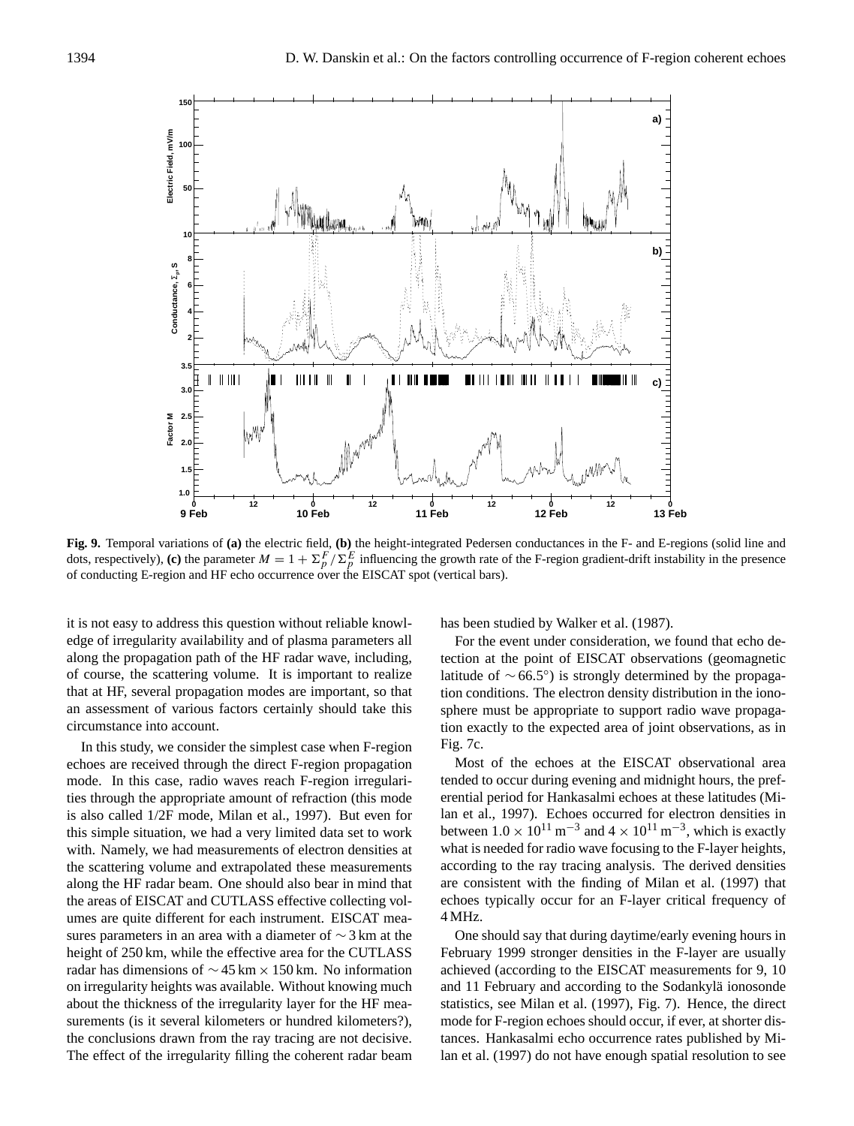

**Fig. 9.** Temporal variations of **(a)** the electric field, **(b)** the height-integrated Pedersen conductances in the F- and E-regions (solid line and dots, respectively), (c) the parameter  $M = 1 + \sum_{p}^{F} / \sum_{p}^{E}$  influencing the growth rate of the F-region gradient-drift instability in the presence of conducting E-region and HF echo occurrence over the EISCAT spot (vertical bars).

it is not easy to address this question without reliable knowledge of irregularity availability and of plasma parameters all along the propagation path of the HF radar wave, including, of course, the scattering volume. It is important to realize that at HF, several propagation modes are important, so that an assessment of various factors certainly should take this circumstance into account.

In this study, we consider the simplest case when F-region echoes are received through the direct F-region propagation mode. In this case, radio waves reach F-region irregularities through the appropriate amount of refraction (this mode is also called 1/2F mode, Milan et al., 1997). But even for this simple situation, we had a very limited data set to work with. Namely, we had measurements of electron densities at the scattering volume and extrapolated these measurements along the HF radar beam. One should also bear in mind that the areas of EISCAT and CUTLASS effective collecting volumes are quite different for each instrument. EISCAT measures parameters in an area with a diameter of ∼ 3 km at the height of 250 km, while the effective area for the CUTLASS radar has dimensions of ∼ 45 km × 150 km. No information on irregularity heights was available. Without knowing much about the thickness of the irregularity layer for the HF measurements (is it several kilometers or hundred kilometers?), the conclusions drawn from the ray tracing are not decisive. The effect of the irregularity filling the coherent radar beam has been studied by Walker et al. (1987).

For the event under consideration, we found that echo detection at the point of EISCAT observations (geomagnetic latitude of ∼ 66.5◦ ) is strongly determined by the propagation conditions. The electron density distribution in the ionosphere must be appropriate to support radio wave propagation exactly to the expected area of joint observations, as in Fig. 7c.

Most of the echoes at the EISCAT observational area tended to occur during evening and midnight hours, the preferential period for Hankasalmi echoes at these latitudes (Milan et al., 1997). Echoes occurred for electron densities in between  $1.0 \times 10^{11}$  m<sup>-3</sup> and  $4 \times 10^{11}$  m<sup>-3</sup>, which is exactly what is needed for radio wave focusing to the F-layer heights, according to the ray tracing analysis. The derived densities are consistent with the finding of Milan et al. (1997) that echoes typically occur for an F-layer critical frequency of 4 MHz.

One should say that during daytime/early evening hours in February 1999 stronger densities in the F-layer are usually achieved (according to the EISCAT measurements for 9, 10 and 11 February and according to the Sodankylä ionosonde statistics, see Milan et al. (1997), Fig. 7). Hence, the direct mode for F-region echoes should occur, if ever, at shorter distances. Hankasalmi echo occurrence rates published by Milan et al. (1997) do not have enough spatial resolution to see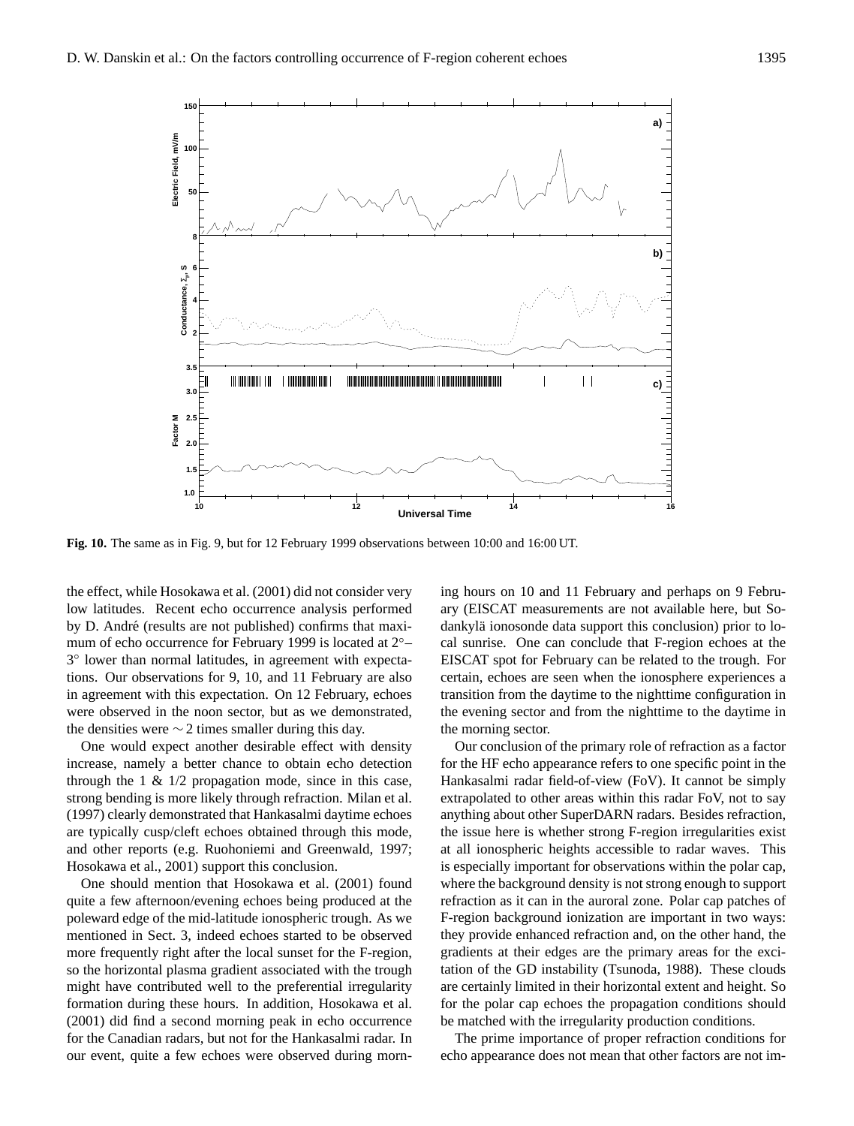

**Fig. 10.** The same as in Fig. 9, but for 12 February 1999 observations between 10:00 and 16:00 UT.

the effect, while Hosokawa et al. (2001) did not consider very low latitudes. Recent echo occurrence analysis performed by D. André (results are not published) confirms that maximum of echo occurrence for February 1999 is located at 2<sup>°</sup>− 3 ◦ lower than normal latitudes, in agreement with expectations. Our observations for 9, 10, and 11 February are also in agreement with this expectation. On 12 February, echoes were observed in the noon sector, but as we demonstrated, the densities were  $\sim$  2 times smaller during this day.

One would expect another desirable effect with density increase, namely a better chance to obtain echo detection through the  $1 \& 1/2$  propagation mode, since in this case, strong bending is more likely through refraction. Milan et al. (1997) clearly demonstrated that Hankasalmi daytime echoes are typically cusp/cleft echoes obtained through this mode, and other reports (e.g. Ruohoniemi and Greenwald, 1997; Hosokawa et al., 2001) support this conclusion.

One should mention that Hosokawa et al. (2001) found quite a few afternoon/evening echoes being produced at the poleward edge of the mid-latitude ionospheric trough. As we mentioned in Sect. 3, indeed echoes started to be observed more frequently right after the local sunset for the F-region, so the horizontal plasma gradient associated with the trough might have contributed well to the preferential irregularity formation during these hours. In addition, Hosokawa et al. (2001) did find a second morning peak in echo occurrence for the Canadian radars, but not for the Hankasalmi radar. In our event, quite a few echoes were observed during morning hours on 10 and 11 February and perhaps on 9 February (EISCAT measurements are not available here, but Sodankylä ionosonde data support this conclusion) prior to local sunrise. One can conclude that F-region echoes at the EISCAT spot for February can be related to the trough. For certain, echoes are seen when the ionosphere experiences a transition from the daytime to the nighttime configuration in the evening sector and from the nighttime to the daytime in the morning sector.

Our conclusion of the primary role of refraction as a factor for the HF echo appearance refers to one specific point in the Hankasalmi radar field-of-view (FoV). It cannot be simply extrapolated to other areas within this radar FoV, not to say anything about other SuperDARN radars. Besides refraction, the issue here is whether strong F-region irregularities exist at all ionospheric heights accessible to radar waves. This is especially important for observations within the polar cap, where the background density is not strong enough to support refraction as it can in the auroral zone. Polar cap patches of F-region background ionization are important in two ways: they provide enhanced refraction and, on the other hand, the gradients at their edges are the primary areas for the excitation of the GD instability (Tsunoda, 1988). These clouds are certainly limited in their horizontal extent and height. So for the polar cap echoes the propagation conditions should be matched with the irregularity production conditions.

The prime importance of proper refraction conditions for echo appearance does not mean that other factors are not im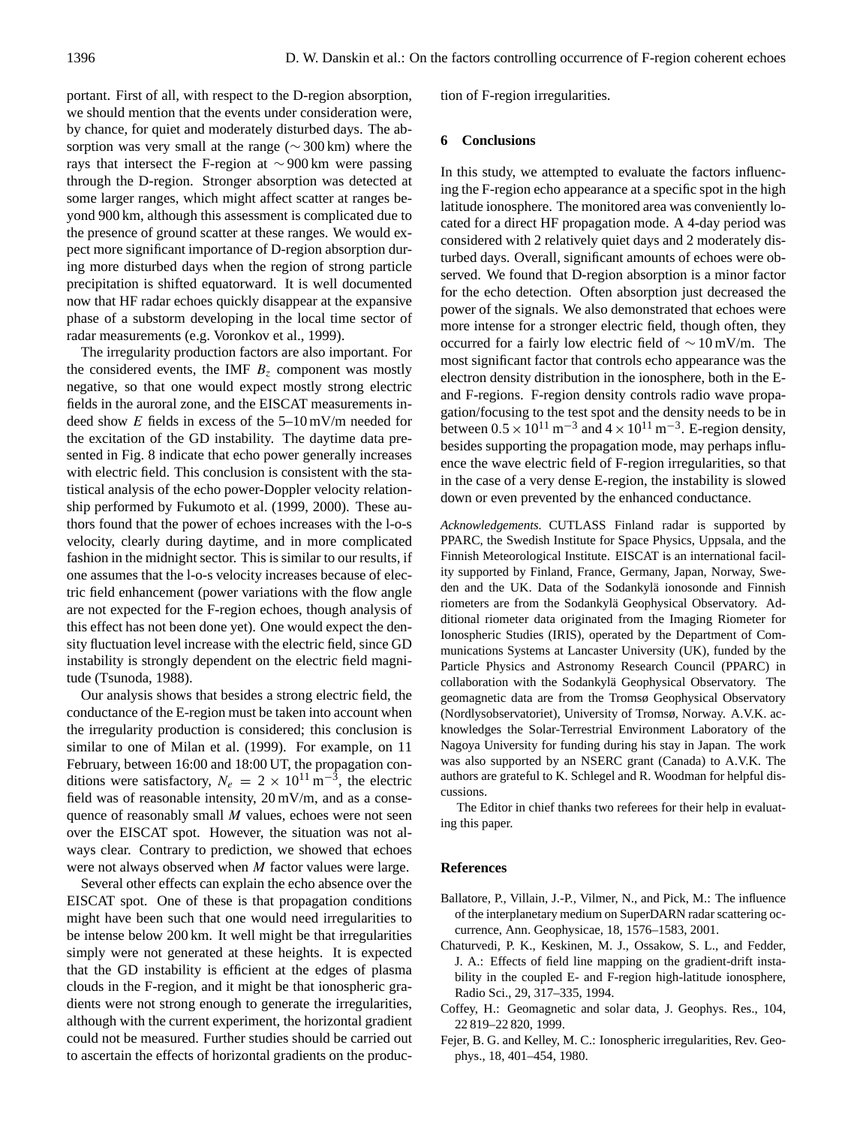portant. First of all, with respect to the D-region absorption, we should mention that the events under consideration were, by chance, for quiet and moderately disturbed days. The absorption was very small at the range (∼ 300 km) where the rays that intersect the F-region at ∼ 900 km were passing through the D-region. Stronger absorption was detected at some larger ranges, which might affect scatter at ranges beyond 900 km, although this assessment is complicated due to the presence of ground scatter at these ranges. We would expect more significant importance of D-region absorption during more disturbed days when the region of strong particle precipitation is shifted equatorward. It is well documented now that HF radar echoes quickly disappear at the expansive phase of a substorm developing in the local time sector of radar measurements (e.g. Voronkov et al., 1999).

The irregularity production factors are also important. For the considered events, the IMF  $B<sub>z</sub>$  component was mostly negative, so that one would expect mostly strong electric fields in the auroral zone, and the EISCAT measurements indeed show E fields in excess of the 5–10 mV/m needed for the excitation of the GD instability. The daytime data presented in Fig. 8 indicate that echo power generally increases with electric field. This conclusion is consistent with the statistical analysis of the echo power-Doppler velocity relationship performed by Fukumoto et al. (1999, 2000). These authors found that the power of echoes increases with the l-o-s velocity, clearly during daytime, and in more complicated fashion in the midnight sector. This is similar to our results, if one assumes that the l-o-s velocity increases because of electric field enhancement (power variations with the flow angle are not expected for the F-region echoes, though analysis of this effect has not been done yet). One would expect the density fluctuation level increase with the electric field, since GD instability is strongly dependent on the electric field magnitude (Tsunoda, 1988).

Our analysis shows that besides a strong electric field, the conductance of the E-region must be taken into account when the irregularity production is considered; this conclusion is similar to one of Milan et al. (1999). For example, on 11 February, between 16:00 and 18:00 UT, the propagation conditions were satisfactory,  $N_e = 2 \times 10^{11} \text{ m}^{-3}$ , the electric field was of reasonable intensity, 20 mV/m, and as a consequence of reasonably small M values, echoes were not seen over the EISCAT spot. However, the situation was not always clear. Contrary to prediction, we showed that echoes were not always observed when M factor values were large.

Several other effects can explain the echo absence over the EISCAT spot. One of these is that propagation conditions might have been such that one would need irregularities to be intense below 200 km. It well might be that irregularities simply were not generated at these heights. It is expected that the GD instability is efficient at the edges of plasma clouds in the F-region, and it might be that ionospheric gradients were not strong enough to generate the irregularities, although with the current experiment, the horizontal gradient could not be measured. Further studies should be carried out to ascertain the effects of horizontal gradients on the production of F-region irregularities.

#### **6 Conclusions**

In this study, we attempted to evaluate the factors influencing the F-region echo appearance at a specific spot in the high latitude ionosphere. The monitored area was conveniently located for a direct HF propagation mode. A 4-day period was considered with 2 relatively quiet days and 2 moderately disturbed days. Overall, significant amounts of echoes were observed. We found that D-region absorption is a minor factor for the echo detection. Often absorption just decreased the power of the signals. We also demonstrated that echoes were more intense for a stronger electric field, though often, they occurred for a fairly low electric field of ∼ 10 mV/m. The most significant factor that controls echo appearance was the electron density distribution in the ionosphere, both in the Eand F-regions. F-region density controls radio wave propagation/focusing to the test spot and the density needs to be in between  $0.5 \times 10^{11}$  m<sup>-3</sup> and  $4 \times 10^{11}$  m<sup>-3</sup>. E-region density, besides supporting the propagation mode, may perhaps influence the wave electric field of F-region irregularities, so that in the case of a very dense E-region, the instability is slowed down or even prevented by the enhanced conductance.

*Acknowledgements.* CUTLASS Finland radar is supported by PPARC, the Swedish Institute for Space Physics, Uppsala, and the Finnish Meteorological Institute. EISCAT is an international facility supported by Finland, France, Germany, Japan, Norway, Sweden and the UK. Data of the Sodankylä ionosonde and Finnish riometers are from the Sodankylä Geophysical Observatory. Additional riometer data originated from the Imaging Riometer for Ionospheric Studies (IRIS), operated by the Department of Communications Systems at Lancaster University (UK), funded by the Particle Physics and Astronomy Research Council (PPARC) in collaboration with the Sodankylä Geophysical Observatory. The geomagnetic data are from the Tromsø Geophysical Observatory (Nordlysobservatoriet), University of Tromsø, Norway. A.V.K. acknowledges the Solar-Terrestrial Environment Laboratory of the Nagoya University for funding during his stay in Japan. The work was also supported by an NSERC grant (Canada) to A.V.K. The authors are grateful to K. Schlegel and R. Woodman for helpful discussions.

The Editor in chief thanks two referees for their help in evaluating this paper.

#### **References**

- Ballatore, P., Villain, J.-P., Vilmer, N., and Pick, M.: The influence of the interplanetary medium on SuperDARN radar scattering occurrence, Ann. Geophysicae, 18, 1576–1583, 2001.
- Chaturvedi, P. K., Keskinen, M. J., Ossakow, S. L., and Fedder, J. A.: Effects of field line mapping on the gradient-drift instability in the coupled E- and F-region high-latitude ionosphere, Radio Sci., 29, 317–335, 1994.
- Coffey, H.: Geomagnetic and solar data, J. Geophys. Res., 104, 22 819–22 820, 1999.
- Fejer, B. G. and Kelley, M. C.: Ionospheric irregularities, Rev. Geophys., 18, 401–454, 1980.